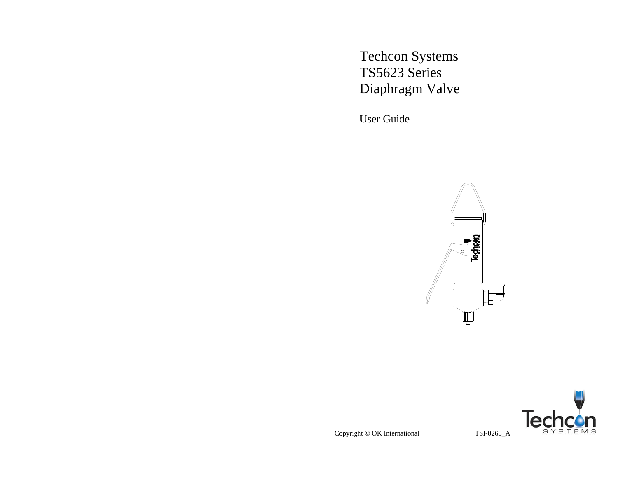Techcon Systems TS5623 Series Diaphragm Valve

User Guide





Copyright © OK International TSI-0268\_A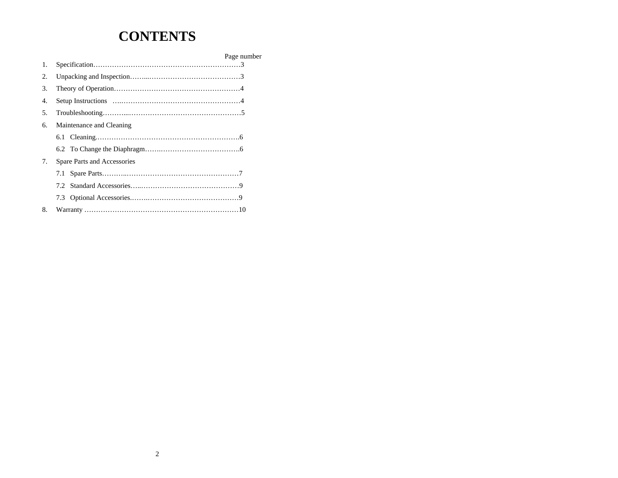# **CONTENTS**

|    |                             | Page number |
|----|-----------------------------|-------------|
| 1. |                             |             |
| 2. |                             |             |
| 3. |                             |             |
| 4. |                             |             |
| 5. |                             |             |
| 6. | Maintenance and Cleaning    |             |
|    |                             |             |
|    |                             |             |
| 7. | Spare Parts and Accessories |             |
|    |                             |             |
|    |                             |             |
|    |                             |             |
| 8. |                             |             |
|    |                             |             |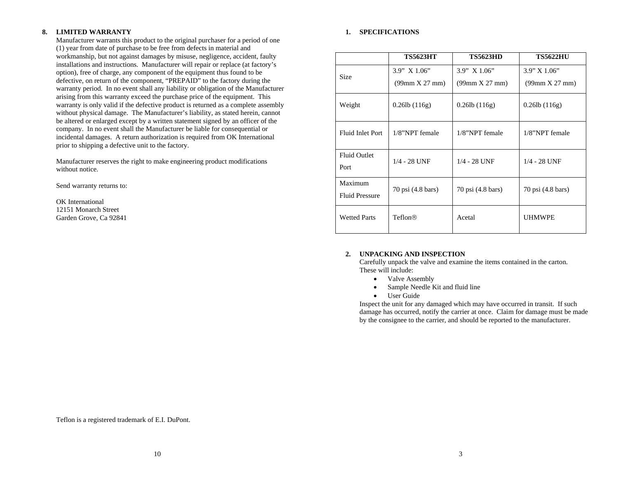#### **8.LIMITED WARRANTY**

Manufacturer warrants this product to the original purchaser for a period of one (1) year from date of purchase to be free from defects in material and workmanship, but not against damages by misuse, negligence, accident, faulty installations and instructions. Manufacturer will repair or replace (at factory's option), free of charge, any component of the equipment thus found to be defective, on return of the component, "PREPAID" to the factory during the warranty period. In no event shall any liability or obligation of the Manufacturer arising from this warranty exceed the purchase price of the equipment. This warranty is only valid if the defective product is returned as a complete assembly without physical damage. The Manufacturer's liability, as stated herein, cannot be altered or enlarged except by a written statement signed by an officer of the company. In no event shall the Manufacturer be liable for consequential or incidental damages. A return authorization is required from OK International prior to shipping a defective unit to the factory.

Manufacturer reserves the right to make engineering product modifications without notice.

Send warranty returns to:

OK International 12151 Monarch Street Garden Grove, Ca 92841

## **1. SPECIFICATIONS**

|                                  | <b>TS5623HT</b>        | <b>TS5623HD</b>    | <b>TS5622HU</b>       |
|----------------------------------|------------------------|--------------------|-----------------------|
| <b>Size</b>                      | $3.9''$ X $1.06''$     | $3.9''$ X $1.06''$ | $3.9'' \times 1.06''$ |
|                                  | $(99$ mm $X 27$ mm $)$ | (99mm X 27 mm)     | (99mm X 27 mm)        |
| Weight                           | $0.26$ lb $(116g)$     | $0.26$ lb $(116g)$ | $0.26$ lb $(116g)$    |
| Fluid Inlet Port                 | 1/8"NPT female         | $1/8$ "NPT female  | $1/8$ "NPT female     |
| <b>Fluid Outlet</b><br>Port      | $1/4 - 28$ UNF         | $1/4 - 28$ UNF     | $1/4 - 28$ UNF        |
| Maximum<br><b>Fluid Pressure</b> | 70 psi (4.8 bars)      | 70 psi (4.8 bars)  | 70 psi (4.8 bars)     |
| <b>Wetted Parts</b>              | Teflon®                | Acetal             | <b>UHMWPE</b>         |

#### **2. UNPACKING AND INSPECTION**

Carefully unpack the valve and examine the items contained in the carton. These will include:

- Valve Assembly
- •Sample Needle Kit and fluid line
- User Guide

Inspect the unit for any damaged which may have occurred in transit. If such damage has occurred, notify the carrier at once. Claim for damage must be made by the consignee to the carrier, and should be reported to the manufacturer.

Teflon is a registered trademark of E.I. DuPont.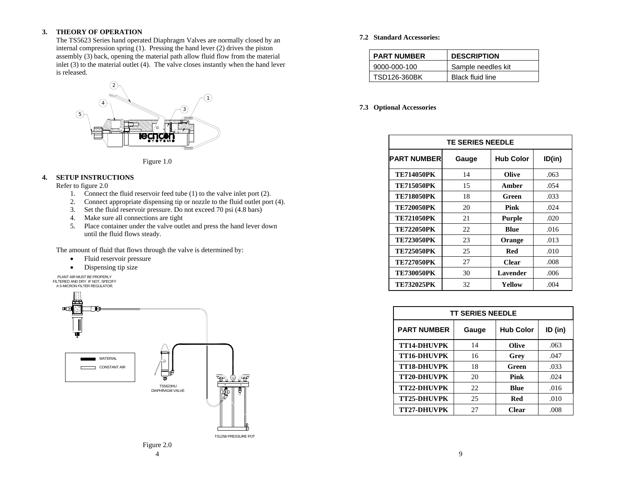#### **3.THEORY OF OPERATION**

The TS5623 Series hand operated Diaphragm Valves are normally closed by an internal compression spring (1). Pressing the hand lever (2) drives the piston assembly (3) back, opening the material path allow fluid flow from the material inlet (3) to the material outlet (4). The valve closes instantly when the hand lever is released.



Figure 1.0

## **4. SETUP INSTRUCTIONS**

Refer to figure 2.0

- 1. Connect the fluid reservoir feed tube (1) to the valve inlet port (2).
- 2.Connect appropriate dispensing tip or nozzle to the fluid outlet port (4).
- 3.Set the fluid reservoir pressure. Do not exceed 70 psi (4.8 bars)
- 4. Make sure all connections are tight
- 5. Place container under the valve outlet and press the hand lever down until the fluid flows steady.

The amount of fluid that flows through the valve is determined by:

- •Fluid reservoir pressure
- $\bullet$ Dispensing tip size





## **7.2 Standard Accessories:**

| <b>PART NUMBER</b> | <b>DESCRIPTION</b>      |
|--------------------|-------------------------|
| 9000-000-100       | Sample needles kit      |
| TSD126-360BK       | <b>Black fluid line</b> |

## **7.3 Optional Accessories**

| <b>TE SERIES NEEDLE</b> |       |                  |        |
|-------------------------|-------|------------------|--------|
| <b>PART NUMBER</b>      | Gauge | <b>Hub Color</b> | ID(in) |
| <b>TE714050PK</b>       | 14    | Olive            | .063   |
| <b>TE715050PK</b>       | 15    | Amber            | .054   |
| <b>TE718050PK</b>       | 18    | Green            | .033   |
| <b>TE720050PK</b>       | 20    | Pink             | .024   |
| <b>TE721050PK</b>       | 21    | <b>Purple</b>    | .020   |
| <b>TE722050PK</b>       | 22    | <b>Blue</b>      | .016   |
| <b>TE723050PK</b>       | 23    | Orange           | .013   |
| <b>TE725050PK</b>       | 25    | <b>Red</b>       | .010   |
| <b>TE727050PK</b>       | 27    | <b>Clear</b>     | .008   |
| <b>TE730050PK</b>       | 30    | Lavender         | .006   |
| <b>TE732025PK</b>       | 32    | Yellow           | .004   |

| <b>TT SERIES NEEDLE</b> |       |                  |         |
|-------------------------|-------|------------------|---------|
| <b>PART NUMBER</b>      | Gauge | <b>Hub Color</b> | ID (in) |
| TT14-DHUVPK             | 14    | Olive            | .063    |
| <b>TT16-DHUVPK</b>      | 16    | Grey             | .047    |
| <b>TT18-DHUVPK</b>      | 18    | Green            | .033    |
| <b>TT20-DHUVPK</b>      | 20    | Pink             | .024    |
| TT22-DHUVPK             | 22    | Blue             | .016    |
| <b>TT25-DHUVPK</b>      | 25    | Red              | .010    |
| <b>TT27-DHUVPK</b>      | 27    | <b>Clear</b>     | .008    |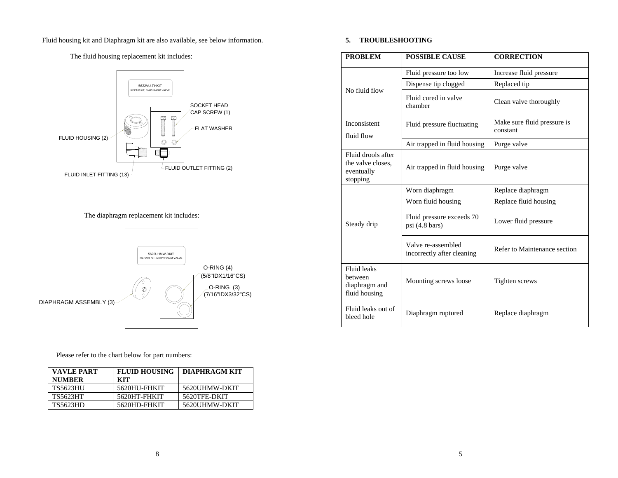Fluid housing kit and Diaphragm kit are also available, see below information.

The fluid housing replacement kit includes:



The diaphragm replacement kit includes:



Please refer to the chart below for part numbers:

| <b>VAVLE PART</b><br><b>NUMBER</b> | <b>FLUID HOUSING</b><br>кіт | DIAPHRAGM KIT |
|------------------------------------|-----------------------------|---------------|
| <b>TS5623HU</b>                    | 5620HU-FHKIT                | 5620UHMW-DKIT |
| <b>TS5623HT</b>                    | 5620HT-FHKIT                | 5620TFE-DKIT  |
| <b>TS5623HD</b>                    | 5620HD-FHKIT                | 5620UHMW-DKIT |

# **5. TROUBLESHOOTING**

| <b>PROBLEM</b>                                                    | <b>POSSIBLE CAUSE</b>                                 | <b>CORRECTION</b>                       |
|-------------------------------------------------------------------|-------------------------------------------------------|-----------------------------------------|
|                                                                   | Fluid pressure too low                                | Increase fluid pressure                 |
| No fluid flow                                                     | Dispense tip clogged                                  | Replaced tip                            |
|                                                                   | Fluid cured in valve<br>chamber                       | Clean valve thoroughly                  |
| Inconsistent<br>fluid flow                                        | Fluid pressure fluctuating                            | Make sure fluid pressure is<br>constant |
|                                                                   | Air trapped in fluid housing                          | Purge valve                             |
| Fluid drools after<br>the valve closes.<br>eventually<br>stopping | Air trapped in fluid housing                          | Purge valve                             |
|                                                                   | Worn diaphragm                                        | Replace diaphragm                       |
|                                                                   | Worn fluid housing                                    | Replace fluid housing                   |
| Steady drip                                                       | Fluid pressure exceeds 70<br>psi $(4.8 \text{ bars})$ | Lower fluid pressure                    |
|                                                                   | Valve re-assembled<br>incorrectly after cleaning      | Refer to Maintenance section            |
| <b>Fluid leaks</b><br>between<br>diaphragm and<br>fluid housing   | Mounting screws loose                                 | Tighten screws                          |
| Fluid leaks out of<br>bleed hole                                  | Diaphragm ruptured                                    | Replace diaphragm                       |